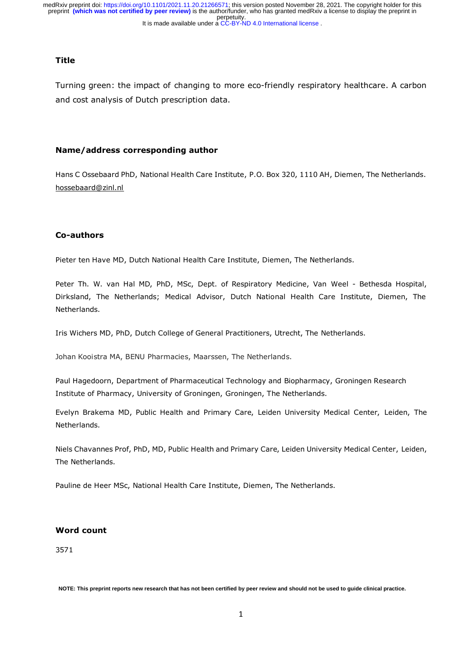# **Title**

Turning green: the impact of changing to more eco-friendly respiratory healthcare. A carbon and cost analysis of Dutch prescription data.

#### **Name/address corresponding author**

Hans C Ossebaard PhD, National Health Care Institute, P.O. Box 320, 1110 AH, Diemen, The Netherlands. [hossebaard@zinl.nl](mailto:hossebaard@zinl.nl)

# **Co-authors**

Pieter ten Have MD, Dutch National Health Care Institute, Diemen, The Netherlands.

Peter Th. W. van Hal MD, PhD, MSc, Dept. of Respiratory Medicine, Van Weel - Bethesda Hospital, Dirksland, The Netherlands; Medical Advisor, Dutch National Health Care Institute, Diemen, The Netherlands.

Iris Wichers MD, PhD, Dutch College of General Practitioners, Utrecht, The Netherlands.

Johan Kooistra MA, BENU Pharmacies, Maarssen, The Netherlands.

Paul Hagedoorn, Department of Pharmaceutical Technology and Biopharmacy, Groningen Research Institute of Pharmacy, University of Groningen, Groningen, The Netherlands.

Evelyn Brakema MD, Public Health and Primary Care, Leiden University Medical Center, Leiden, The Netherlands.

Niels Chavannes Prof, PhD, MD, Public Health and Primary Care, Leiden University Medical Center, Leiden, The Netherlands.

Pauline de Heer MSc, National Health Care Institute, Diemen, The Netherlands.

# **Word count**

3571

**NOTE: This preprint reports new research that has not been certified by peer review and should not be used to guide clinical practice.**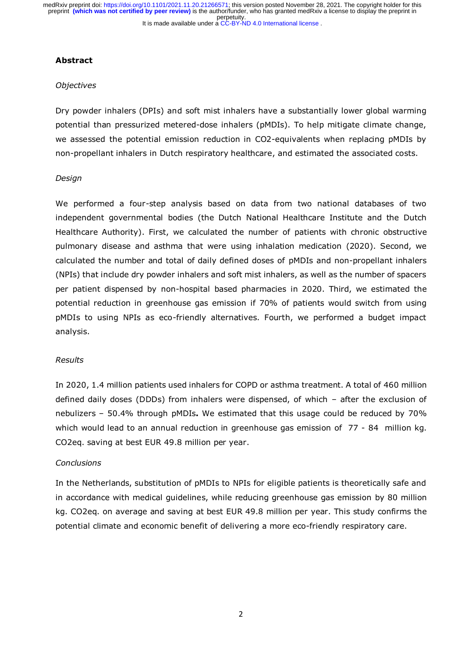# **Abstract**

#### *Objectives*

Dry powder inhalers (DPIs) and soft mist inhalers have a substantially lower global warming potential than pressurized metered-dose inhalers (pMDIs). To help mitigate climate change, we assessed the potential emission reduction in CO2-equivalents when replacing pMDIs by non-propellant inhalers in Dutch respiratory healthcare, and estimated the associated costs.

#### *Design*

We performed a four-step analysis based on data from two national databases of two independent governmental bodies (the Dutch National Healthcare Institute and the Dutch Healthcare Authority). First, we calculated the number of patients with chronic obstructive pulmonary disease and asthma that were using inhalation medication (2020). Second, we calculated the number and total of daily defined doses of pMDIs and non-propellant inhalers (NPIs) that include dry powder inhalers and soft mist inhalers, as well as the number of spacers per patient dispensed by non-hospital based pharmacies in 2020. Third, we estimated the potential reduction in greenhouse gas emission if 70% of patients would switch from using pMDIs to using NPIs as eco-friendly alternatives. Fourth, we performed a budget impact analysis.

#### *Results*

In 2020, 1.4 million patients used inhalers for COPD or asthma treatment. A total of 460 million defined daily doses (DDDs) from inhalers were dispensed, of which – after the exclusion of nebulizers – 50.4% through pMDIs**.** We estimated that this usage could be reduced by 70% which would lead to an annual reduction in greenhouse gas emission of 77 - 84 million kg. CO2eq. saving at best EUR 49.8 million per year.

#### *Conclusions*

In the Netherlands, substitution of pMDIs to NPIs for eligible patients is theoretically safe and in accordance with medical guidelines, while reducing greenhouse gas emission by 80 million kg. CO2eq. on average and saving at best EUR 49.8 million per year. This study confirms the potential climate and economic benefit of delivering a more eco-friendly respiratory care.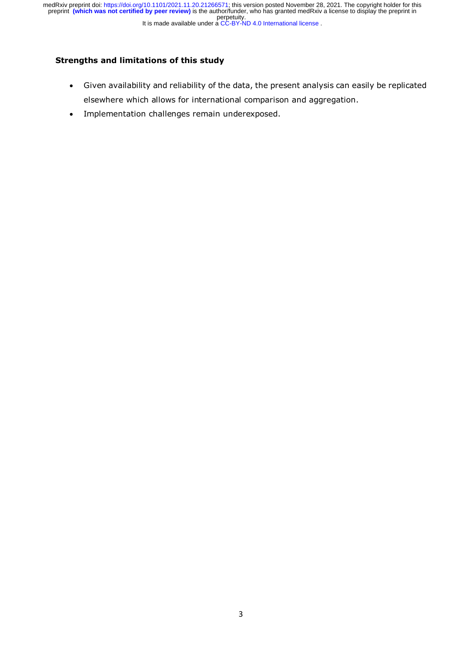It is made available under a [CC-BY-ND 4.0 International license](http://creativecommons.org/licenses/by-nd/4.0/) . perpetuity. medRxiv preprint doi: [https://doi.org/10.1101/2021.11.20.21266571;](https://doi.org/10.1101/2021.11.20.21266571) this version posted November 28, 2021. The copyright holder for this<br>preprint (which was not certified by peer review) is the author/funder, who has grante

# **Strengths and limitations of this study**

- Given availability and reliability of the data, the present analysis can easily be replicated elsewhere which allows for international comparison and aggregation.
- Implementation challenges remain underexposed.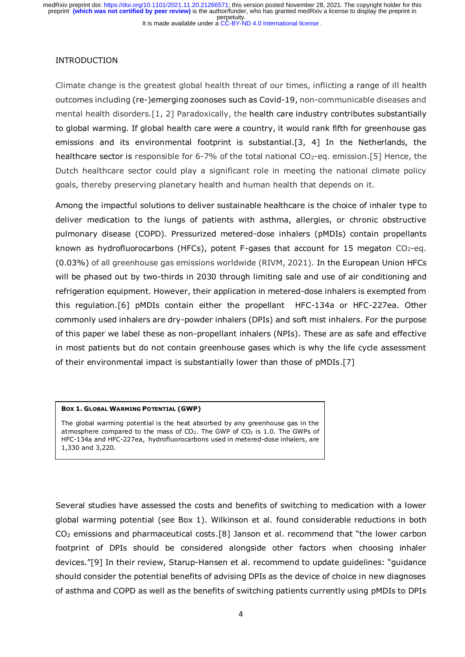# INTRODUCTION

Climate change is the greatest global health threat of our times, inflicting a range of ill health outcomes including (re-)emerging zoonoses such as Covid-19, non-communicable diseases and mental health disorders.[1, 2] Paradoxically, the health care industry contributes substantially to global warming. If global health care were a country, it would rank fifth for greenhouse gas emissions and its environmental footprint is substantial.[3, 4] In the Netherlands, the healthcare sector is responsible for 6-7% of the total national  $CO<sub>2</sub>$ -eq. emission.[5] Hence, the Dutch healthcare sector could play a significant role in meeting the national climate policy goals, thereby preserving planetary health and human health that depends on it.

Among the impactful solutions to deliver sustainable healthcare is the choice of inhaler type to deliver medication to the lungs of patients with asthma, allergies, or chronic obstructive pulmonary disease (COPD). Pressurized metered-dose inhalers (pMDIs) contain propellants known as hydrofluorocarbons (HFCs), potent F-gases that account for 15 megaton  $CO_2$ -eq. (0.03%) of all greenhouse gas emissions worldwide (RIVM, 2021). In the European Union HFCs will be phased out by two-thirds in 2030 through limiting sale and use of air conditioning and refrigeration equipment. However, their application in metered-dose inhalers is exempted from this regulation.[6] pMDIs contain either the propellant HFC-134a or HFC-227ea. Other commonly used inhalers are dry-powder inhalers (DPIs) and soft mist inhalers. For the purpose of this paper we label these as non-propellant inhalers (NPIs). These are as safe and effective in most patients but do not contain greenhouse gases which is why the life cycle assessment of their environmental impact is substantially lower than those of pMDIs.[7]

#### **BOX 1. GLOBAL WARMING POTENTIAL (GWP)**

The global warming potential is the heat absorbed by any greenhouse gas in the atmosphere compared to the mass of  $CO<sub>2</sub>$ . The GWP of  $CO<sub>2</sub>$  is 1.0. The GWPs of HFC-134a and HFC-227ea, hydrofluorocarbons used in metered-dose inhalers, are 1,330 and 3,220.

Several studies have assessed the costs and benefits of switching to medication with a lower global warming potential (see Box 1). Wilkinson et al. found considerable reductions in both CO<sup>2</sup> emissions and pharmaceutical costs.[8] Janson et al. recommend that "the lower carbon footprint of DPIs should be considered alongside other factors when choosing inhaler devices."[9] In their review, Starup-Hansen et al. recommend to update guidelines: "guidance should consider the potential benefits of advising DPIs as the device of choice in new diagnoses of asthma and COPD as well as the benefits of switching patients currently using pMDIs to DPIs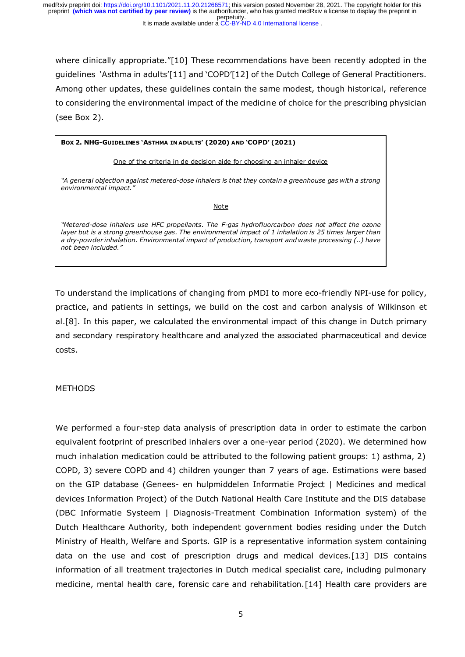perpetuity. preprint **(which was not certified by peer review)** is the author/funder, who has granted medRxiv a license to display the preprint in medRxiv preprint doi: [https://doi.org/10.1101/2021.11.20.21266571;](https://doi.org/10.1101/2021.11.20.21266571) this version posted November 28, 2021. The copyright holder for this

It is made available under a [CC-BY-ND 4.0 International license](http://creativecommons.org/licenses/by-nd/4.0/) .

where clinically appropriate."[10] These recommendations have been recently adopted in the guidelines 'Asthma in adults'[11] and 'COPD'[12] of the Dutch College of General Practitioners. Among other updates, these guidelines contain the same modest, though historical, reference to considering the environmental impact of the medicine of choice for the prescribing physician (see Box 2).

# **BOX 2. NHG-GUIDELINES 'ASTHMA IN ADULTS' (2020) AND 'COPD' (2021)** One of the criteria in de decision aide for choosing an inhaler device *"A general objection against metered-dose inhalers is that they contain a greenhouse gas with a strong environmental impact."* Note *"Metered-dose inhalers use HFC propellants. The F-gas hydrofluorcarbon does not affect the ozone layer but is a strong greenhouse gas. The environmental impact of 1 inhalation is 25 times larger than a dry-powder inhalation. Environmental impact of production, transport and waste processing (..) have not been included."*

To understand the implications of changing from pMDI to more eco-friendly NPI-use for policy, practice, and patients in settings, we build on the cost and carbon analysis of Wilkinson et al.[8]. In this paper, we calculated the environmental impact of this change in Dutch primary and secondary respiratory healthcare and analyzed the associated pharmaceutical and device costs.

# **METHODS**

We performed a four-step data analysis of prescription data in order to estimate the carbon equivalent footprint of prescribed inhalers over a one-year period (2020). We determined how much inhalation medication could be attributed to the following patient groups: 1) asthma, 2) COPD, 3) severe COPD and 4) children younger than 7 years of age. Estimations were based on the GIP database (Genees- en hulpmiddelen Informatie Project | Medicines and medical devices Information Project) of the Dutch National Health Care Institute and the DIS database (DBC Informatie Systeem | Diagnosis-Treatment Combination Information system) of the Dutch Healthcare Authority, both independent government bodies residing under the Dutch Ministry of Health, Welfare and Sports. GIP is a representative information system containing data on the use and cost of prescription drugs and medical devices.[13] DIS contains information of all treatment trajectories in Dutch medical specialist care, including pulmonary medicine, mental health care, forensic care and rehabilitation.[14] Health care providers are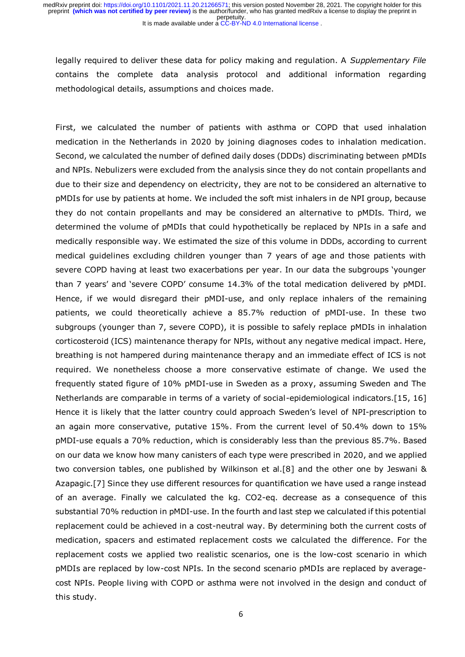legally required to deliver these data for policy making and regulation. A *Supplementary File* contains the complete data analysis protocol and additional information regarding methodological details, assumptions and choices made.

First, we calculated the number of patients with asthma or COPD that used inhalation medication in the Netherlands in 2020 by joining diagnoses codes to inhalation medication. Second, we calculated the number of defined daily doses (DDDs) discriminating between pMDIs and NPIs. Nebulizers were excluded from the analysis since they do not contain propellants and due to their size and dependency on electricity, they are not to be considered an alternative to pMDIs for use by patients at home. We included the soft mist inhalers in de NPI group, because they do not contain propellants and may be considered an alternative to pMDIs. Third, we determined the volume of pMDIs that could hypothetically be replaced by NPIs in a safe and medically responsible way. We estimated the size of this volume in DDDs, according to current medical guidelines excluding children younger than 7 years of age and those patients with severe COPD having at least two exacerbations per year. In our data the subgroups 'younger than 7 years' and 'severe COPD' consume 14.3% of the total medication delivered by pMDI. Hence, if we would disregard their pMDI-use, and only replace inhalers of the remaining patients, we could theoretically achieve a 85.7% reduction of pMDI-use. In these two subgroups (younger than 7, severe COPD), it is possible to safely replace pMDIs in inhalation corticosteroid (ICS) maintenance therapy for NPIs, without any negative medical impact. Here, breathing is not hampered during maintenance therapy and an immediate effect of ICS is not required. We nonetheless choose a more conservative estimate of change. We used the frequently stated figure of 10% pMDI-use in Sweden as a proxy, assuming Sweden and The Netherlands are comparable in terms of a variety of social-epidemiological indicators.[15, 16] Hence it is likely that the latter country could approach Sweden's level of NPI-prescription to an again more conservative, putative 15%. From the current level of 50.4% down to 15% pMDI-use equals a 70% reduction, which is considerably less than the previous 85.7%. Based on our data we know how many canisters of each type were prescribed in 2020, and we applied two conversion tables, one published by Wilkinson et al.[8] and the other one by Jeswani & Azapagic.[7] Since they use different resources for quantification we have used a range instead of an average. Finally we calculated the kg. CO2-eq. decrease as a consequence of this substantial 70% reduction in pMDI-use. In the fourth and last step we calculated if this potential replacement could be achieved in a cost-neutral way. By determining both the current costs of medication, spacers and estimated replacement costs we calculated the difference. For the replacement costs we applied two realistic scenarios, one is the low-cost scenario in which pMDIs are replaced by low-cost NPIs. In the second scenario pMDIs are replaced by averagecost NPIs. People living with COPD or asthma were not involved in the design and conduct of this study.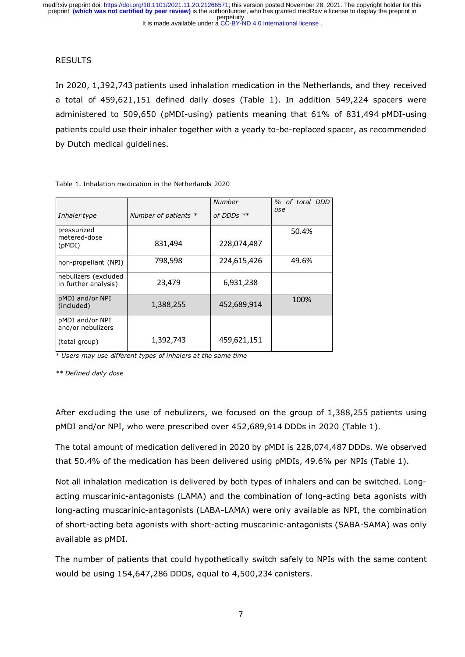# RESULTS

In 2020, 1,392,743 patients used inhalation medication in the Netherlands, and they received a total of 459,621,151 defined daily doses (Table 1). In addition 549,224 spacers were administered to 509,650 (pMDI-using) patients meaning that 61% of 831,494 pMDI-using patients could use their inhaler together with a yearly to-be-replaced spacer, as recommended by Dutch medical guidelines.

|                                              |                      | Number       | % of total DDD |
|----------------------------------------------|----------------------|--------------|----------------|
| Inhaler type                                 | Number of patients * | of $DDDs$ ** | use            |
| pressurized                                  |                      |              | 50.4%          |
| metered-dose<br>(pMDI)                       | 831,494              | 228,074,487  |                |
| non-propellant (NPI)                         | 798,598              | 224,615,426  | 49.6%          |
| nebulizers (excluded<br>in further analysis) | 23,479               | 6,931,238    |                |
| pMDI and/or NPI<br>(included)                | 1,388,255            | 452,689,914  | 100%           |
| pMDI and/or NPI<br>and/or nebulizers         |                      |              |                |
| (total group)                                | 1,392,743            | 459,621,151  |                |

Table 1. Inhalation medication in the Netherlands 2020

*\* Users may use different types of inhalers at the same time*

*\*\* Defined daily dose*

After excluding the use of nebulizers, we focused on the group of 1,388,255 patients using pMDI and/or NPI, who were prescribed over 452,689,914 DDDs in 2020 (Table 1).

The total amount of medication delivered in 2020 by pMDI is 228,074,487 DDDs. We observed that 50.4% of the medication has been delivered using pMDIs, 49.6% per NPIs (Table 1).

Not all inhalation medication is delivered by both types of inhalers and can be switched. Longacting muscarinic-antagonists (LAMA) and the combination of long-acting beta agonists with long-acting muscarinic-antagonists (LABA-LAMA) were only available as NPI, the combination of short-acting beta agonists with short-acting muscarinic-antagonists (SABA-SAMA) was only available as pMDI.

The number of patients that could hypothetically switch safely to NPIs with the same content would be using 154,647,286 DDDs, equal to 4,500,234 canisters.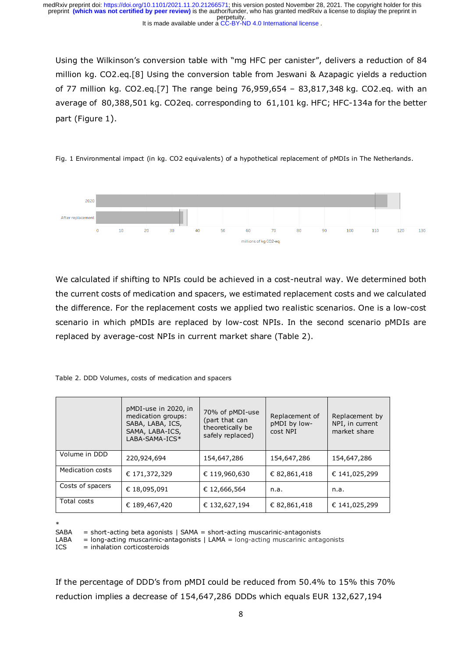Using the Wilkinson's conversion table with "mg HFC per canister", delivers a reduction of 84 million kg. CO2.eq.[8] Using the conversion table from Jeswani & Azapagic yields a reduction of 77 million kg. CO2.eq.[7] The range being 76,959,654 – 83,817,348 kg. CO2.eq. with an average of 80,388,501 kg. CO2eq. corresponding to 61,101 kg. HFC; HFC-134a for the better part (Figure 1).

Fig. 1 Environmental impact (in kg. CO2 equivalents) of a hypothetical replacement of pMDIs in The Netherlands.



We calculated if shifting to NPIs could be achieved in a cost-neutral way. We determined both the current costs of medication and spacers, we estimated replacement costs and we calculated the difference. For the replacement costs we applied two realistic scenarios. One is a low-cost scenario in which pMDIs are replaced by low-cost NPIs. In the second scenario pMDIs are replaced by average-cost NPIs in current market share (Table 2).

| Table 2. DDD Volumes, costs of medication and spacers |  |  |  |
|-------------------------------------------------------|--|--|--|
|-------------------------------------------------------|--|--|--|

|                  | pMDI-use in 2020, in<br>medication groups:<br>SABA, LABA, ICS,<br>SAMA, LABA-ICS,<br>LABA-SAMA-ICS* | 70% of pMDI-use<br>(part that can<br>theoretically be<br>safely replaced) | Replacement of<br>pMDI by low-<br>cost NPI | Replacement by<br>NPI, in current<br>market share |
|------------------|-----------------------------------------------------------------------------------------------------|---------------------------------------------------------------------------|--------------------------------------------|---------------------------------------------------|
| Volume in DDD    | 220,924,694                                                                                         | 154,647,286                                                               | 154,647,286                                | 154,647,286                                       |
| Medication costs | € 171,372,329                                                                                       | € 119,960,630                                                             | € 82,861,418                               | € 141,025,299                                     |
| Costs of spacers | € 18,095,091                                                                                        | € 12,666,564                                                              | n.a.                                       | n.a.                                              |
| Total costs      | € 189,467,420                                                                                       | € 132,627,194                                                             | € 82,861,418                               | € 141,025,299                                     |

\*

 $SABA = short-acting beta agonists | SAMA = short-acting muscular; and a new-actine-antagonists$ 

 $LABA = long-acting$  muscarinic-antagonists  $|$  LAMA = long-acting muscarinic antagonists

ICS = inhalation corticosteroids

If the percentage of DDD's from pMDI could be reduced from 50.4% to 15% this 70% reduction implies a decrease of 154,647,286 DDDs which equals EUR 132,627,194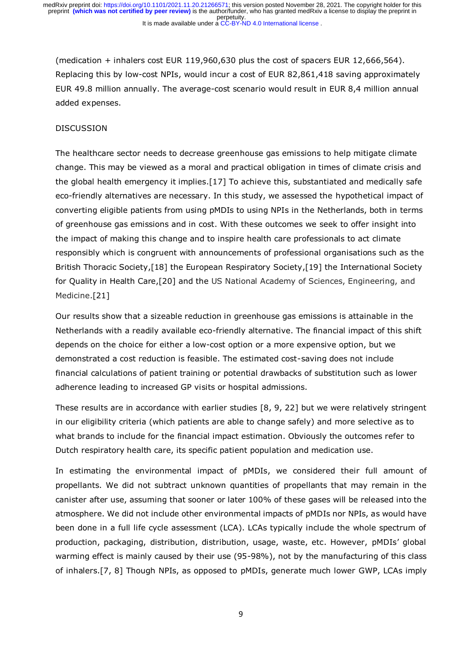(medication + inhalers cost EUR 119,960,630 plus the cost of spacers EUR 12,666,564). Replacing this by low-cost NPIs, would incur a cost of EUR 82,861,418 saving approximately EUR 49.8 million annually. The average-cost scenario would result in EUR 8,4 million annual added expenses.

#### DISCUSSION

The healthcare sector needs to decrease greenhouse gas emissions to help mitigate climate change. This may be viewed as a moral and practical obligation in times of climate crisis and the global health emergency it implies.[17] To achieve this, substantiated and medically safe eco-friendly alternatives are necessary. In this study, we assessed the hypothetical impact of converting eligible patients from using pMDIs to using NPIs in the Netherlands, both in terms of greenhouse gas emissions and in cost. With these outcomes we seek to offer insight into the impact of making this change and to inspire health care professionals to act climate responsibly which is congruent with announcements of professional organisations such as the British Thoracic Society,[18] the European Respiratory Society,[19] the International Society for Quality in Health Care,[20] and the US National Academy of Sciences, Engineering, and Medicine.[21]

Our results show that a sizeable reduction in greenhouse gas emissions is attainable in the Netherlands with a readily available eco-friendly alternative. The financial impact of this shift depends on the choice for either a low-cost option or a more expensive option, but we demonstrated a cost reduction is feasible. The estimated cost-saving does not include financial calculations of patient training or potential drawbacks of substitution such as lower adherence leading to increased GP visits or hospital admissions.

These results are in accordance with earlier studies [8, 9, 22] but we were relatively stringent in our eligibility criteria (which patients are able to change safely) and more selective as to what brands to include for the financial impact estimation. Obviously the outcomes refer to Dutch respiratory health care, its specific patient population and medication use.

In estimating the environmental impact of pMDIs, we considered their full amount of propellants. We did not subtract unknown quantities of propellants that may remain in the canister after use, assuming that sooner or later 100% of these gases will be released into the atmosphere. We did not include other environmental impacts of pMDIs nor NPIs, as would have been done in a full life cycle assessment (LCA). LCAs typically include the whole spectrum of production, packaging, distribution, distribution, usage, waste, etc. However, pMDIs' global warming effect is mainly caused by their use (95-98%), not by the manufacturing of this class of inhalers.[7, 8] Though NPIs, as opposed to pMDIs, generate much lower GWP, LCAs imply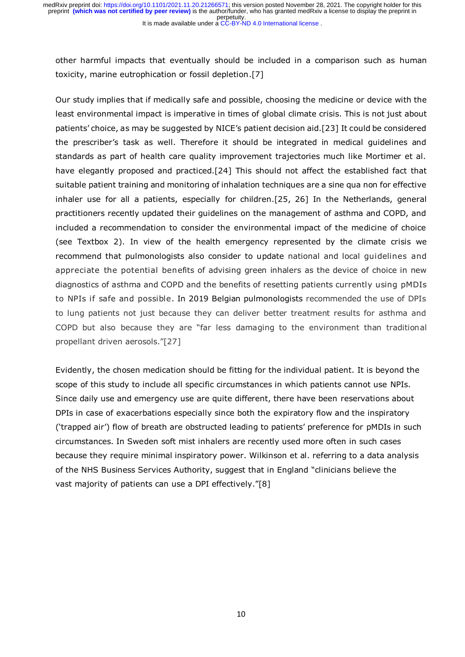other harmful impacts that eventually should be included in a comparison such as human toxicity, marine eutrophication or fossil depletion.[7]

Our study implies that if medically safe and possible, choosing the medicine or device with the least environmental impact is imperative in times of global climate crisis. This is not just about patients' choice, as may be suggested by NICE's patient decision aid.[23] It could be considered the prescriber's task as well. Therefore it should be integrated in medical guidelines and standards as part of health care quality improvement trajectories much like Mortimer et al. have elegantly proposed and practiced.[24] This should not affect the established fact that suitable patient training and monitoring of inhalation techniques are a sine qua non for effective inhaler use for all a patients, especially for children.[25, 26] In the Netherlands, general practitioners recently updated their guidelines on the management of asthma and COPD, and included a recommendation to consider the environmental impact of the medicine of choice (see Textbox 2). In view of the health emergency represented by the climate crisis we recommend that pulmonologists also consider to update national and local guidelines and appreciate the potential benefits of advising green inhalers as the device of choice in new diagnostics of asthma and COPD and the benefits of resetting patients currently using pMDIs to NPIs if safe and possible. In 2019 Belgian pulmonologists recommended the use of DPIs to lung patients not just because they can deliver better treatment results for asthma and COPD but also because they are "far less damaging to the environment than traditional propellant driven aerosols."[27]

Evidently, the chosen medication should be fitting for the individual patient. It is beyond the scope of this study to include all specific circumstances in which patients cannot use NPIs. Since daily use and emergency use are quite different, there have been reservations about DPIs in case of exacerbations especially since both the expiratory flow and the inspiratory ('trapped air') flow of breath are obstructed leading to patients' preference for pMDIs in such circumstances. In Sweden soft mist inhalers are recently used more often in such cases because they require minimal inspiratory power. Wilkinson et al. referring to a data analysis of the NHS Business Services Authority, suggest that in England "clinicians believe the vast majority of patients can use a DPI effectively."[8]

10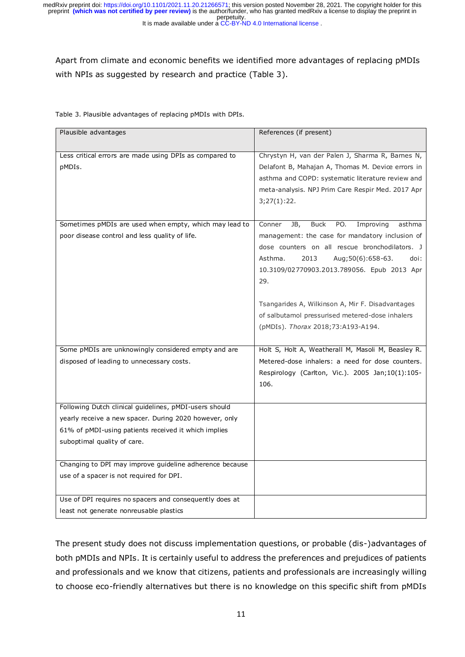Apart from climate and economic benefits we identified more advantages of replacing pMDIs with NPIs as suggested by research and practice (Table 3).

Table 3. Plausible advantages of replacing pMDIs with DPIs.

| Plausible advantages                                    | References (if present)                                    |
|---------------------------------------------------------|------------------------------------------------------------|
|                                                         |                                                            |
| Less critical errors are made using DPIs as compared to | Chrystyn H, van der Palen J, Sharma R, Barnes N,           |
| pMDIs.                                                  | Delafont B, Mahajan A, Thomas M. Device errors in          |
|                                                         | asthma and COPD: systematic literature review and          |
|                                                         | meta-analysis. NPJ Prim Care Respir Med. 2017 Apr          |
|                                                         | 3;27(1):22.                                                |
|                                                         |                                                            |
| Sometimes pMDIs are used when empty, which may lead to  | JB,<br><b>Buck</b><br>PO.<br>Improving<br>Conner<br>asthma |
| poor disease control and less quality of life.          | management: the case for mandatory inclusion of            |
|                                                         | dose counters on all rescue bronchodilators. J             |
|                                                         | Asthma.<br>Aug; 50(6): 658-63.<br>2013<br>doi:             |
|                                                         | 10.3109/02770903.2013.789056. Epub 2013 Apr                |
|                                                         | 29.                                                        |
|                                                         |                                                            |
|                                                         | Tsangarides A, Wilkinson A, Mir F. Disadvantages           |
|                                                         | of salbutamol pressurised metered-dose inhalers            |
|                                                         | (pMDIs). Thorax 2018;73:A193-A194.                         |
|                                                         | Holt S, Holt A, Weatherall M, Masoli M, Beasley R.         |
| Some pMDIs are unknowingly considered empty and are     | Metered-dose inhalers: a need for dose counters.           |
| disposed of leading to unnecessary costs.               |                                                            |
|                                                         | Respirology (Carlton, Vic.). 2005 Jan;10(1):105-<br>106.   |
|                                                         |                                                            |
| Following Dutch clinical guidelines, pMDI-users should  |                                                            |
| yearly receive a new spacer. During 2020 however, only  |                                                            |
| 61% of pMDI-using patients received it which implies    |                                                            |
| suboptimal quality of care.                             |                                                            |
|                                                         |                                                            |
| Changing to DPI may improve guideline adherence because |                                                            |
| use of a spacer is not required for DPI.                |                                                            |
|                                                         |                                                            |
| Use of DPI requires no spacers and consequently does at |                                                            |
| least not generate nonreusable plastics                 |                                                            |

The present study does not discuss implementation questions, or probable (dis-)advantages of both pMDIs and NPIs. It is certainly useful to address the preferences and prejudices of patients and professionals and we know that citizens, patients and professionals are increasingly willing to choose eco-friendly alternatives but there is no knowledge on this specific shift from pMDIs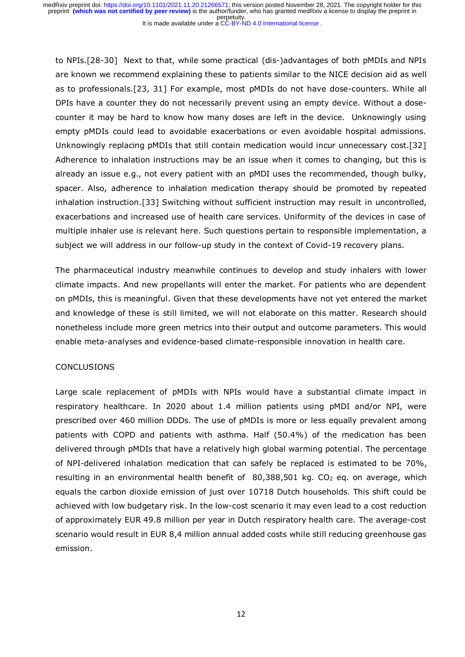perpetuity. preprint **(which was not certified by peer review)** is the author/funder, who has granted medRxiv a license to display the preprint in medRxiv preprint doi: [https://doi.org/10.1101/2021.11.20.21266571;](https://doi.org/10.1101/2021.11.20.21266571) this version posted November 28, 2021. The copyright holder for this

It is made available under a [CC-BY-ND 4.0 International license](http://creativecommons.org/licenses/by-nd/4.0/) .

to NPIs.[28-30] Next to that, while some practical (dis-)advantages of both pMDIs and NPIs are known we recommend explaining these to patients similar to the NICE decision aid as well as to professionals.[23, 31] For example, most pMDIs do not have dose-counters. While all DPIs have a counter they do not necessarily prevent using an empty device. Without a dosecounter it may be hard to know how many doses are left in the device. Unknowingly using empty pMDIs could lead to avoidable exacerbations or even avoidable hospital admissions. Unknowingly replacing pMDIs that still contain medication would incur unnecessary cost.[32] Adherence to inhalation instructions may be an issue when it comes to changing, but this is already an issue e.g., not every patient with an pMDI uses the recommended, though bulky, spacer. Also, adherence to inhalation medication therapy should be promoted by repeated inhalation instruction.[33] Switching without sufficient instruction may result in uncontrolled, exacerbations and increased use of health care services. Uniformity of the devices in case of multiple inhaler use is relevant here. Such questions pertain to responsible implementation, a subject we will address in our follow-up study in the context of Covid-19 recovery plans.

The pharmaceutical industry meanwhile continues to develop and study inhalers with lower climate impacts. And new propellants will enter the market. For patients who are dependent on pMDIs, this is meaningful. Given that these developments have not yet entered the market and knowledge of these is still limited, we will not elaborate on this matter. Research should nonetheless include more green metrics into their output and outcome parameters. This would enable meta-analyses and evidence-based climate-responsible innovation in health care.

#### **CONCLUSIONS**

Large scale replacement of pMDIs with NPIs would have a substantial climate impact in respiratory healthcare. In 2020 about 1.4 million patients using pMDI and/or NPI, were prescribed over 460 million DDDs. The use of pMDIs is more or less equally prevalent among patients with COPD and patients with asthma. Half (50.4%) of the medication has been delivered through pMDIs that have a relatively high global warming potential. The percentage of NPI-delivered inhalation medication that can safely be replaced is estimated to be 70%, resulting in an environmental health benefit of  $80,388,501$  kg. CO<sub>2</sub> eq. on average, which equals the carbon dioxide emission of just over 10718 Dutch households. This shift could be achieved with low budgetary risk. In the low-cost scenario it may even lead to a cost reduction of approximately EUR 49.8 million per year in Dutch respiratory health care. The average-cost scenario would result in EUR 8,4 million annual added costs while still reducing greenhouse gas emission.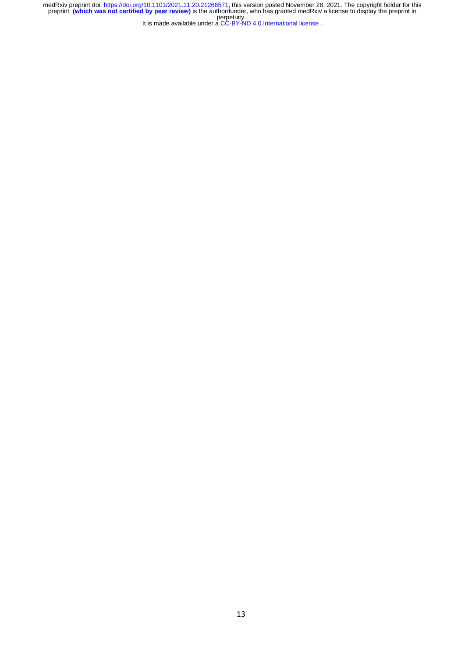perpetuity. medRxiv preprint doi: [https://doi.org/10.1101/2021.11.20.21266571;](https://doi.org/10.1101/2021.11.20.21266571) this version posted November 28, 2021. The copyright holder for this<br>preprint (which was not certified by peer review) is the author/funder, who has grante

It is made available under a [CC-BY-ND 4.0 International license](http://creativecommons.org/licenses/by-nd/4.0/) .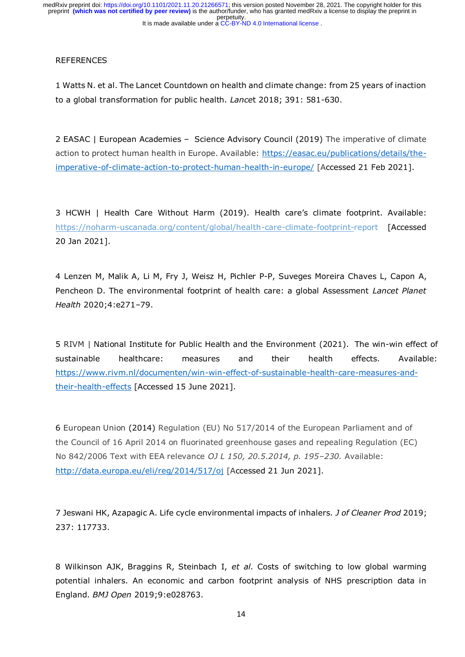# REFERENCES

1 Watts N. et al. The Lancet Countdown on health and climate change: from 25 years of inaction to a global transformation for public health. *Lance*t 2018; 391: 581-630.

2 EASAC | European Academies – Science Advisory Council (2019) The imperative of climate action to protect human health in Europe. Available: [https://easac.eu/publications/details/the](https://easac.eu/publications/details/the-imperative-of-climate-action-to-protect-human-health-in-europe/)[imperative-of-climate-action-to-protect-human-health-in-europe/](https://easac.eu/publications/details/the-imperative-of-climate-action-to-protect-human-health-in-europe/) [Accessed 21 Feb 2021].

3 HCWH | Health Care Without Harm (2019). Health care's climate footprint. Available: <https://noharm-uscanada.org/content/global/health-care-climate-footprint-report> [Accessed 20 Jan 2021].

4 Lenzen M, Malik A, Li M, Fry J, Weisz H, Pichler P-P, Suveges Moreira Chaves L, Capon A, Pencheon D. The environmental footprint of health care: a global Assessment *Lancet Planet Health* 2020;4:e271–79.

5 RIVM | National Institute for Public Health and the Environment (2021). The win-win effect of sustainable healthcare: measures and their health effects. Available: [https://www.rivm.nl/documenten/win-win-effect-of-sustainable-health-care-measures-and](https://www.rivm.nl/documenten/win-win-effect-of-sustainable-health-care-measures-and-their-health-effects)[their-health-effects](https://www.rivm.nl/documenten/win-win-effect-of-sustainable-health-care-measures-and-their-health-effects) [Accessed 15 June 2021].

6 European Union (2014) Regulation (EU) No 517/2014 of the European Parliament and of the Council of 16 April 2014 on fluorinated greenhouse gases and repealing Regulation (EC) No 842/2006 Text with EEA relevance *OJ L 150, 20.5.2014, p. 195–230.* Available: <http://data.europa.eu/eli/reg/2014/517/oj> [Accessed 21 Jun 2021].

7 Jeswani HK, Azapagic A. Life cycle environmental impacts of inhalers. *J of Cleaner Prod* 2019; 237: 117733.

8 Wilkinson AJK, Braggins R, Steinbach I, *et al*. Costs of switching to low global warming potential inhalers. An economic and carbon footprint analysis of NHS prescription data in England. *BMJ Open* 2019;9:e028763.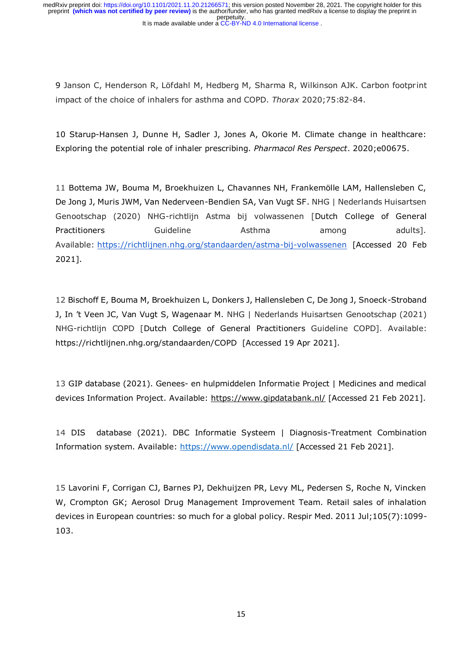9 Janson C, Henderson R, Löfdahl M, Hedberg M, Sharma R, Wilkinson AJK. Carbon footprint impact of the choice of inhalers for asthma and COPD. *Thorax* 2020;75:82-84.

10 Starup-Hansen J, Dunne H, Sadler J, Jones A, Okorie M. Climate change in healthcare: Exploring the potential role of inhaler prescribing. *Pharmacol Res Perspect*. 2020;e00675.

11 Bottema JW, Bouma M, Broekhuizen L, Chavannes NH, Frankemölle LAM, Hallensleben C, De Jong J, Muris JWM, Van Nederveen-Bendien SA, Van Vugt SF. NHG | Nederlands Huisartsen Genootschap (2020) NHG-richtlijn Astma bij volwassenen [Dutch College of General Practitioners **Guideline** Asthma among adults]. Available: <https://richtlijnen.nhg.org/standaarden/astma-bij-volwassenen> [Accessed 20 Feb 2021].

12 Bischoff E, Bouma M, Broekhuizen L, Donkers J, Hallensleben C, De Jong J, Snoeck-Stroband J, In 't Veen JC, Van Vugt S, Wagenaar M. NHG | Nederlands Huisartsen Genootschap (2021) NHG-richtlijn COPD [Dutch College of General Practitioners Guideline COPD]. Available: https://richtlijnen.nhg.org/standaarden/COPD [Accessed 19 Apr 2021].

13 GIP database (2021). Genees- en hulpmiddelen Informatie Project | Medicines and medical devices Information Project. Available:<https://www.gipdatabank.nl/> [Accessed 21 Feb 2021].

14 DIS database (2021). DBC Informatie Systeem | Diagnosis-Treatment Combination Information system. Available:<https://www.opendisdata.nl/> [Accessed 21 Feb 2021].

15 Lavorini F, Corrigan CJ, Barnes PJ, Dekhuijzen PR, Levy ML, Pedersen S, Roche N, Vincken W, Crompton GK; Aerosol Drug Management Improvement Team. Retail sales of inhalation devices in European countries: so much for a global policy. Respir Med. 2011 Jul;105(7):1099- 103.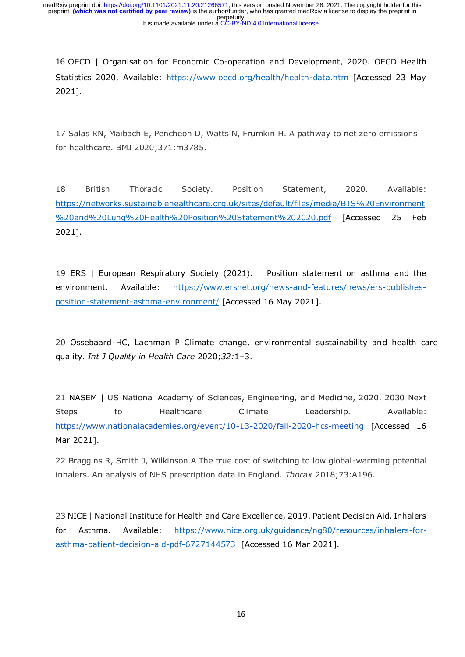16 OECD | Organisation for Economic Co-operation and Development, 2020. OECD Health Statistics 2020. Available:<https://www.oecd.org/health/health-data.htm> [Accessed 23 May 2021].

17 Salas RN, Maibach E, Pencheon D, Watts N, Frumkin H. A pathway to net zero emissions for healthcare. BMJ 2020;371:m3785.

18 British Thoracic Society. Position Statement, 2020. Available: [https://networks.sustainablehealthcare.org.uk/sites/default/files/media/BTS%20Environment](https://networks.sustainablehealthcare.org.uk/sites/default/files/media/BTS%20Environment%20and%20Lung%20Health%20Position%20Statement%202020.pdf) [%20and%20Lung%20Health%20Position%20Statement%202020.pdf](https://networks.sustainablehealthcare.org.uk/sites/default/files/media/BTS%20Environment%20and%20Lung%20Health%20Position%20Statement%202020.pdf) [Accessed 25 Feb 2021].

19 ERS | European Respiratory Society (2021). Position statement on asthma and the environment. Available: [https://www.ersnet.org/news-and-features/news/ers-publishes](https://www.ersnet.org/news-and-features/news/ers-publishes-position-statement-asthma-environment/)[position-statement-asthma-environment/](https://www.ersnet.org/news-and-features/news/ers-publishes-position-statement-asthma-environment/) [Accessed 16 May 2021].

20 Ossebaard HC, Lachman P Climate change, environmental sustainability and health care quality. *Int J Quality in Health Care* 2020;*32:*1–3.

21 NASEM | US National Academy of Sciences, Engineering, and Medicine, 2020. 2030 Next Steps to Healthcare Climate Leadership. Available: <https://www.nationalacademies.org/event/10-13-2020/fall-2020-hcs-meeting> [Accessed 16 Mar 2021].

22 Braggins R, Smith J, Wilkinson A The true cost of switching to low global-warming potential inhalers. An analysis of NHS prescription data in England. *Thorax* 2018;73:A196.

23 NICE | National Institute for Health and Care Excellence, 2019. Patient Decision Aid. Inhalers for Asthma. Available: [https://www.nice.org.uk/guidance/ng80/resources/inhalers-for](https://www.nice.org.uk/guidance/ng80/resources/inhalers-for-asthma-patient-decision-aid-pdf-6727144573)[asthma-patient-decision-aid-pdf-6727144573](https://www.nice.org.uk/guidance/ng80/resources/inhalers-for-asthma-patient-decision-aid-pdf-6727144573) [Accessed 16 Mar 2021].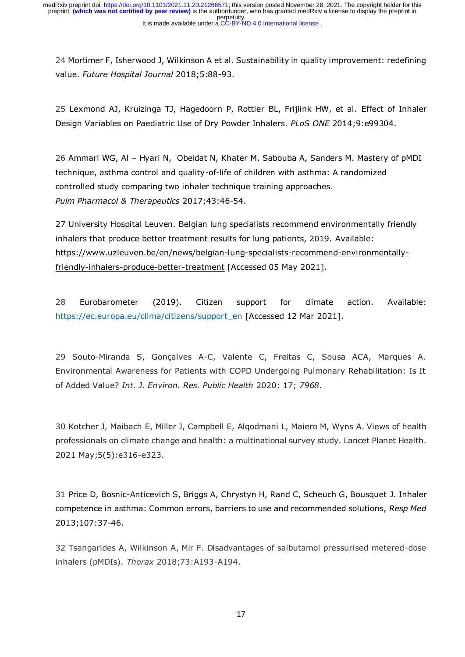24 Mortimer F, Isherwood J, Wilkinson A et al. Sustainability in quality improvement: redefining value. *Future Hospital Journal* 2018;5:88-93.

25 Lexmond AJ, Kruizinga TJ, Hagedoorn P, Rottier BL, Frijlink HW, et al. Effect of Inhaler Design Variables on Paediatric Use of Dry Powder Inhalers. *PLoS ONE* 2014;9:e99304.

26 Ammari WG, Al – Hyari N, Obeidat N, Khater M, Sabouba A, Sanders M. Mastery of pMDI technique, asthma control and quality-of-life of children with asthma: A randomized controlled study comparing two inhaler technique training approaches. *Pulm Pharmacol & Therapeutics* 2017;43:46-54.

27 University Hospital Leuven. Belgian lung specialists recommend environmentally friendly inhalers that produce better treatment results for lung patients, 2019. Available: [https://www.uzleuven.be/en/news/belgian-lung-specialists-recommend-environmentally](https://www.uzleuven.be/en/news/belgian-lung-specialists-recommend-environmentally-friendly-inhalers-produce-better-treatment)[friendly-inhalers-produce-better-treatment](https://www.uzleuven.be/en/news/belgian-lung-specialists-recommend-environmentally-friendly-inhalers-produce-better-treatment) [Accessed 05 May 2021].

28 Eurobarometer (2019). Citizen support for climate action. Available: [https://ec.europa.eu/clima/citizens/support\\_en](https://ec.europa.eu/clima/citizens/support_en) [Accessed 12 Mar 2021].

29 Souto-Miranda S, Gonçalves A-C, Valente C, Freitas C, Sousa ACA, Marques A. Environmental Awareness for Patients with COPD Undergoing Pulmonary Rehabilitation: Is It of Added Value? *Int. J. Environ. Res. Public Health* 2020: 17; *7968*.

30 Kotcher J, Maibach E, Miller J, Campbell E, Alqodmani L, Maiero M, Wyns A. Views of health professionals on climate change and health: a multinational survey study. Lancet Planet Health. 2021 May;5(5):e316-e323.

31 Price D, Bosnic-Anticevich S, Briggs A, Chrystyn H, Rand C, Scheuch G, Bousquet J. Inhaler competence in asthma: Common errors, barriers to use and recommended solutions, *Resp Med* 2013;107:37-46.

32 Tsangarides A, Wilkinson A, Mir F. Disadvantages of salbutamol pressurised metered-dose inhalers (pMDIs). *Thorax* 2018;73:A193-A194.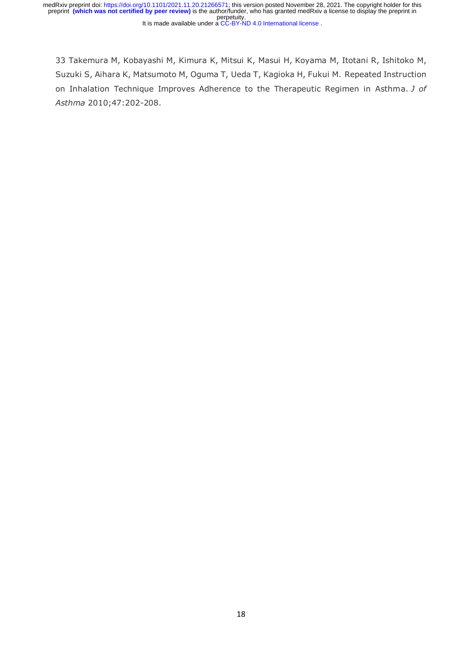It is made available under a [CC-BY-ND 4.0 International license](http://creativecommons.org/licenses/by-nd/4.0/) . perpetuity. medRxiv preprint doi: [https://doi.org/10.1101/2021.11.20.21266571;](https://doi.org/10.1101/2021.11.20.21266571) this version posted November 28, 2021. The copyright holder for this<br>preprint (which was not certified by peer review) is the author/funder, who has grante

33 Takemura M, Kobayashi M, Kimura K, Mitsui K, Masui H, Koyama M, Itotani R, Ishitoko M, Suzuki S, Aihara K, Matsumoto M, Oguma T, Ueda T, Kagioka H, Fukui M. Repeated Instruction on Inhalation Technique Improves Adherence to the Therapeutic Regimen in Asthma. *J of Asthma* 2010;47:202-208.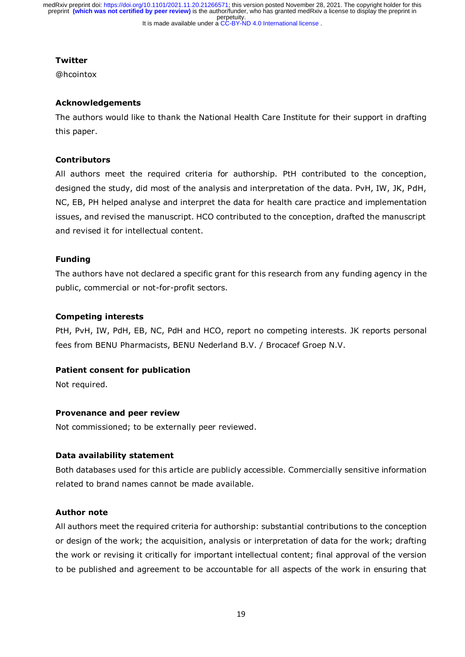# **Twitter**

@hcointox

# **Acknowledgements**

The authors would like to thank the National Health Care Institute for their support in drafting this paper.

# **Contributors**

All authors meet the required criteria for authorship. PtH contributed to the conception, designed the study, did most of the analysis and interpretation of the data. PvH, IW, JK, PdH, NC, EB, PH helped analyse and interpret the data for health care practice and implementation issues, and revised the manuscript. HCO contributed to the conception, drafted the manuscript and revised it for intellectual content.

# **Funding**

The authors have not declared a specific grant for this research from any funding agency in the public, commercial or not-for-profit sectors.

# **Competing interests**

PtH, PvH, IW, PdH, EB, NC, PdH and HCO, report no competing interests. JK reports personal fees from BENU Pharmacists, BENU Nederland B.V. / Brocacef Groep N.V.

# **Patient consent for publication**

Not required.

# **Provenance and peer review**

Not commissioned; to be externally peer reviewed.

# **Data availability statement**

Both databases used for this article are publicly accessible. Commercially sensitive information related to brand names cannot be made available.

# **Author note**

All authors meet the required criteria for authorship: substantial contributions to the conception or design of the work; the acquisition, analysis or interpretation of data for the work; drafting the work or revising it critically for important intellectual content; final approval of the version to be published and agreement to be accountable for all aspects of the work in ensuring that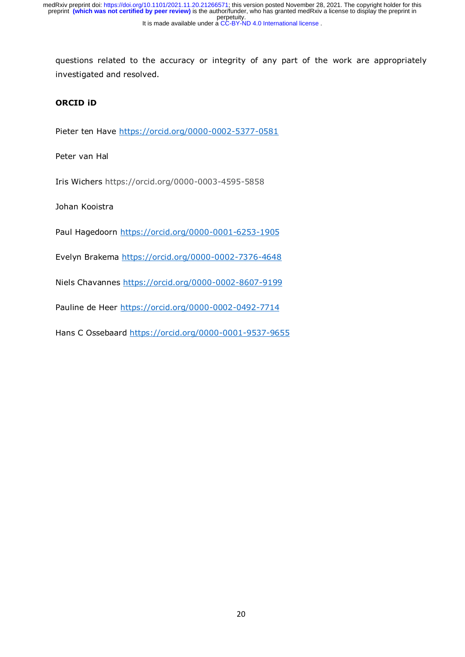questions related to the accuracy or integrity of any part of the work are appropriately investigated and resolved.

## **ORCID iD**

Pieter ten Have<https://orcid.org/0000-0002-5377-0581>

Peter van Hal

Iris Wichers https://orcid.org/0000-0003-4595-5858

Johan Kooistra

Paul Hagedoorn <https://orcid.org/0000-0001-6253-1905>

Evelyn Brakema<https://orcid.org/0000-0002-7376-4648>

Niels Chavannes<https://orcid.org/0000-0002-8607-9199>

Pauline de Heer<https://orcid.org/0000-0002-0492-7714>

Hans C Ossebaard<https://orcid.org/0000-0001-9537-9655>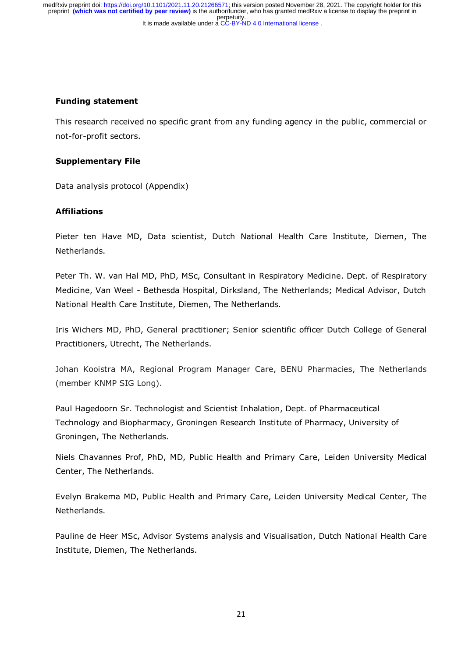# **Funding statement**

This research received no specific grant from any funding agency in the public, commercial or not-for-profit sectors.

## **Supplementary File**

Data analysis protocol (Appendix)

## **Affiliations**

Pieter ten Have MD, Data scientist, Dutch National Health Care Institute, Diemen, The Netherlands.

Peter Th. W. van Hal MD, PhD, MSc, Consultant in Respiratory Medicine. Dept. of Respiratory Medicine, Van Weel - Bethesda Hospital, Dirksland, The Netherlands; Medical Advisor, Dutch National Health Care Institute, Diemen, The Netherlands.

Iris Wichers MD, PhD, General practitioner; Senior scientific officer Dutch College of General Practitioners, Utrecht, The Netherlands.

Johan Kooistra MA, Regional Program Manager Care, BENU Pharmacies, The Netherlands (member KNMP SIG Long).

Paul Hagedoorn Sr. Technologist and Scientist Inhalation, Dept. of Pharmaceutical Technology and Biopharmacy, Groningen Research Institute of Pharmacy, University of Groningen, The Netherlands.

Niels Chavannes Prof, PhD, MD, Public Health and Primary Care, Leiden University Medical Center, The Netherlands.

Evelyn Brakema MD, Public Health and Primary Care, Leiden University Medical Center, The Netherlands.

Pauline de Heer MSc, Advisor Systems analysis and Visualisation, Dutch National Health Care Institute, Diemen, The Netherlands.